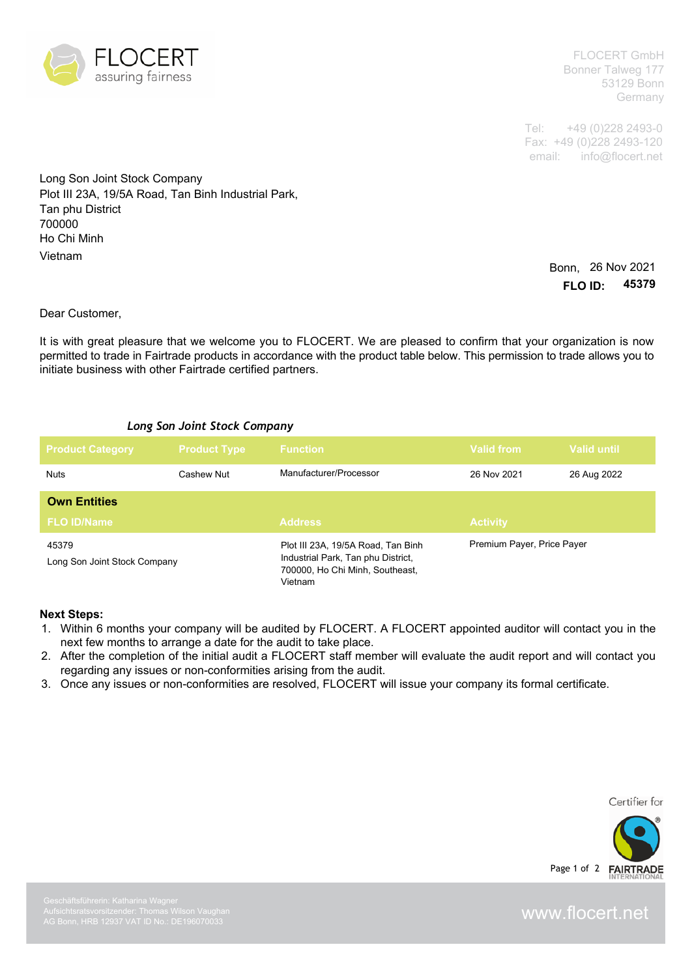

FLOCERT GmbH Bonner Talweg 177 53129 Bonn Germany

Tel: +49 (0)228 2493-0 Fax: +49 (0)228 2493-120 email: info@flocert.net

Long Son Joint Stock Company Plot III 23A, 19/5A Road, Tan Binh Industrial Park, Tan phu District 700000 Ho Chi Minh Vietnam

Bonn, 26 Nov 2021 **FLO ID: 45379**

Dear Customer,

It is with great pleasure that we welcome you to FLOCERT. We are pleased to confirm that your organization is now permitted to trade in Fairtrade products in accordance with the product table below. This permission to trade allows you to initiate business with other Fairtrade certified partners.

## *Long Son Joint Stock Company*

| <b>Product Category</b>               | <b>Product Type</b> | <b>Function</b>                                                                                                        | Valid from                 | <b>Valid until</b> |
|---------------------------------------|---------------------|------------------------------------------------------------------------------------------------------------------------|----------------------------|--------------------|
| <b>Nuts</b>                           | Cashew Nut          | Manufacturer/Processor                                                                                                 | 26 Nov 2021                | 26 Aug 2022        |
| <b>Own Entities</b>                   |                     |                                                                                                                        |                            |                    |
| <b>FLO ID/Name</b>                    |                     | <b>Address</b>                                                                                                         | <b>Activity</b>            |                    |
| 45379<br>Long Son Joint Stock Company |                     | Plot III 23A, 19/5A Road, Tan Binh<br>Industrial Park, Tan phu District,<br>700000, Ho Chi Minh, Southeast,<br>Vietnam | Premium Payer, Price Payer |                    |

## **Next Steps:**

- 1. Within 6 months your company will be audited by FLOCERT. A FLOCERT appointed auditor will contact you in the next few months to arrange a date for the audit to take place.
- 2. After the completion of the initial audit a FLOCERT staff member will evaluate the audit report and will contact you regarding any issues or non-conformities arising from the audit.
- 3. Once any issues or non-conformities are resolved, FLOCERT will issue your company its formal certificate.

Certifier for